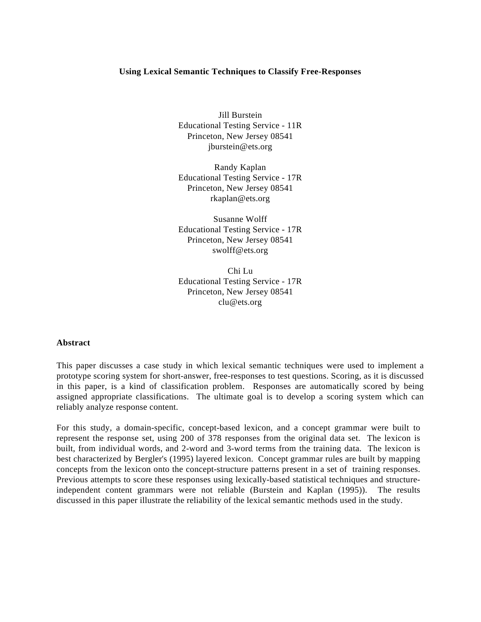# **Using Lexical Semantic Techniques to Classify Free-Responses**

Jill Burstein Educational Testing Service - 11R Princeton, New Jersey 08541 jburstein@ets.org

Randy Kaplan Educational Testing Service - 17R Princeton, New Jersey 08541 rkaplan@ets.org

Susanne Wolff Educational Testing Service - 17R Princeton, New Jersey 08541 swolff@ets.org

Chi Lu Educational Testing Service - 17R Princeton, New Jersey 08541 clu@ets.org

#### **Abstract**

This paper discusses a case study in which lexical semantic techniques were used to implement a prototype scoring system for short-answer, free-responses to test questions. Scoring, as it is discussed in this paper, is a kind of classification problem. Responses are automatically scored by being assigned appropriate classifications. The ultimate goal is to develop a scoring system which can reliably analyze response content.

For this study, a domain-specific, concept-based lexicon, and a concept grammar were built to represent the response set, using 200 of 378 responses from the original data set. The lexicon is built, from individual words, and 2-word and 3-word terms from the training data. The lexicon is best characterized by Bergler's (1995) layered lexicon. Concept grammar rules are built by mapping concepts from the lexicon onto the concept-structure patterns present in a set of training responses. Previous attempts to score these responses using lexically-based statistical techniques and structureindependent content grammars were not reliable (Burstein and Kaplan (1995)). The results discussed in this paper illustrate the reliability of the lexical semantic methods used in the study.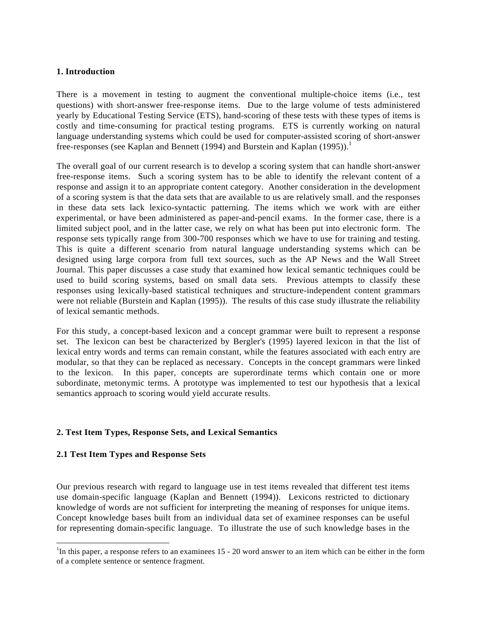# **1. Introduction**

There is a movement in testing to augment the conventional multiple-choice items (i.e., test questions) with short-answer free-response items. Due to the large volume of tests administered yearly by Educational Testing Service (ETS), hand-scoring of these tests with these types of items is costly and time-consuming for practical testing programs. ETS is currently working on natural language understanding systems which could be used for computer-assisted scoring of short-answer free-responses (see Kaplan and Bennett (1994) and Burstein and Kaplan (1995)).<sup>1</sup>

The overall goal of our current research is to develop a scoring system that can handle short-answer free-response items. Such a scoring system has to be able to identify the relevant content of a response and assign it to an appropriate content category. Another consideration in the development of a scoring system is that the data sets that are available to us are relatively small. and the responses in these data sets lack lexico-syntactic patterning. The items which we work with are either experimental, or have been administered as paper-and-pencil exams. In the former case, there is a limited subject pool, and in the latter case, we rely on what has been put into electronic form. The response sets typically range from 300-700 responses which we have to use for training and testing. This is quite a different scenario from natural language understanding systems which can be designed using large corpora from full text sources, such as the AP News and the Wall Street Journal. This paper discusses a case study that examined how lexical semantic techniques could be used to build scoring systems, based on small data sets. Previous attempts to classify these responses using lexically-based statistical techniques and structure-independent content grammars were not reliable (Burstein and Kaplan (1995)). The results of this case study illustrate the reliability of lexical semantic methods.

For this study, a concept-based lexicon and a concept grammar were built to represent a response set. The lexicon can best be characterized by Bergler's (1995) layered lexicon in that the list of lexical entry words and terms can remain constant, while the features associated with each entry are modular, so that they can be replaced as necessary. Concepts in the concept grammars were linked to the lexicon. In this paper, concepts are superordinate terms which contain one or more subordinate, metonymic terms. A prototype was implemented to test our hypothesis that a lexical semantics approach to scoring would yield accurate results.

# **2. Test Item Types, Response Sets, and Lexical Semantics**

# **2.1 Test Item Types and Response Sets**

 $\overline{a}$ 

Our previous research with regard to language use in test items revealed that different test items use domain-specific language (Kaplan and Bennett (1994)). Lexicons restricted to dictionary knowledge of words are not sufficient for interpreting the meaning of responses for unique items. Concept knowledge bases built from an individual data set of examinee responses can be useful for representing domain-specific language. To illustrate the use of such knowledge bases in the

<sup>&</sup>lt;sup>1</sup>In this paper, a response refers to an examinees  $15 - 20$  word answer to an item which can be either in the form of a complete sentence or sentence fragment.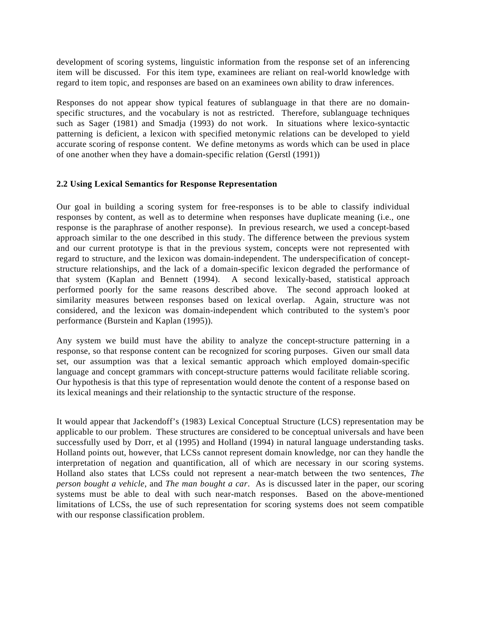development of scoring systems, linguistic information from the response set of an inferencing item will be discussed. For this item type, examinees are reliant on real-world knowledge with regard to item topic, and responses are based on an examinees own ability to draw inferences.

Responses do not appear show typical features of sublanguage in that there are no domainspecific structures, and the vocabulary is not as restricted. Therefore, sublanguage techniques such as Sager (1981) and Smadja (1993) do not work. In situations where lexico-syntactic patterning is deficient, a lexicon with specified metonymic relations can be developed to yield accurate scoring of response content. We define metonyms as words which can be used in place of one another when they have a domain-specific relation (Gerstl (1991))

## **2.2 Using Lexical Semantics for Response Representation**

Our goal in building a scoring system for free-responses is to be able to classify individual responses by content, as well as to determine when responses have duplicate meaning (i.e., one response is the paraphrase of another response). In previous research, we used a concept-based approach similar to the one described in this study. The difference between the previous system and our current prototype is that in the previous system, concepts were not represented with regard to structure, and the lexicon was domain-independent. The underspecification of conceptstructure relationships, and the lack of a domain-specific lexicon degraded the performance of that system (Kaplan and Bennett (1994). A second lexically-based, statistical approach performed poorly for the same reasons described above. The second approach looked at similarity measures between responses based on lexical overlap. Again, structure was not considered, and the lexicon was domain-independent which contributed to the system's poor performance (Burstein and Kaplan (1995)).

Any system we build must have the ability to analyze the concept-structure patterning in a response, so that response content can be recognized for scoring purposes. Given our small data set, our assumption was that a lexical semantic approach which employed domain-specific language and concept grammars with concept-structure patterns would facilitate reliable scoring. Our hypothesis is that this type of representation would denote the content of a response based on its lexical meanings and their relationship to the syntactic structure of the response.

It would appear that Jackendoff's (1983) Lexical Conceptual Structure (LCS) representation may be applicable to our problem. These structures are considered to be conceptual universals and have been successfully used by Dorr, et al (1995) and Holland (1994) in natural language understanding tasks. Holland points out, however, that LCSs cannot represent domain knowledge, nor can they handle the interpretation of negation and quantification, all of which are necessary in our scoring systems. Holland also states that LCSs could not represent a near-match between the two sentences, *The person bought a vehicle*, and *The man bought a car*. As is discussed later in the paper, our scoring systems must be able to deal with such near-match responses. Based on the above-mentioned limitations of LCSs, the use of such representation for scoring systems does not seem compatible with our response classification problem.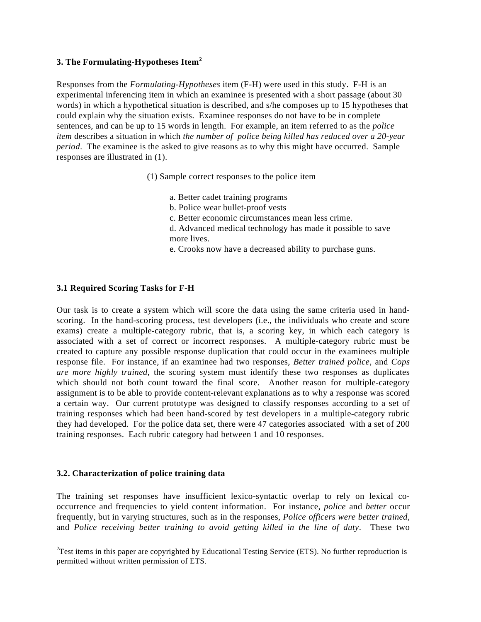# **3. The Formulating-Hypotheses Item<sup>2</sup>**

Responses from the *Formulating-Hypotheses* item (F-H) were used in this study. F-H is an experimental inferencing item in which an examinee is presented with a short passage (about 30 words) in which a hypothetical situation is described, and s/he composes up to 15 hypotheses that could explain why the situation exists. Examinee responses do not have to be in complete sentences, and can be up to 15 words in length. For example, an item referred to as the *police item* describes a situation in which *the number of police being killed has reduced over a 20-year period*. The examinee is the asked to give reasons as to why this might have occurred. Sample responses are illustrated in (1).

(1) Sample correct responses to the police item

- a. Better cadet training programs
- b. Police wear bullet-proof vests
- c. Better economic circumstances mean less crime.
- d. Advanced medical technology has made it possible to save more lives.
- e. Crooks now have a decreased ability to purchase guns.

# **3.1 Required Scoring Tasks for F-H**

Our task is to create a system which will score the data using the same criteria used in handscoring. In the hand-scoring process, test developers (i.e., the individuals who create and score exams) create a multiple-category rubric, that is, a scoring key, in which each category is associated with a set of correct or incorrect responses. A multiple-category rubric must be created to capture any possible response duplication that could occur in the examinees multiple response file. For instance, if an examinee had two responses, *Better trained police*, and *Cops are more highly trained*, the scoring system must identify these two responses as duplicates which should not both count toward the final score. Another reason for multiple-category assignment is to be able to provide content-relevant explanations as to why a response was scored a certain way. Our current prototype was designed to classify responses according to a set of training responses which had been hand-scored by test developers in a multiple-category rubric they had developed. For the police data set, there were 47 categories associated with a set of 200 training responses. Each rubric category had between 1 and 10 responses.

# **3.2. Characterization of police training data**

-

The training set responses have insufficient lexico-syntactic overlap to rely on lexical cooccurrence and frequencies to yield content information. For instance, *police* and *better* occur frequently, but in varying structures, such as in the responses, *Police officers were better trained*, and *Police receiving better training to avoid getting killed in the line of duty*. These two

 ${}^{2}$ Test items in this paper are copyrighted by Educational Testing Service (ETS). No further reproduction is permitted without written permission of ETS.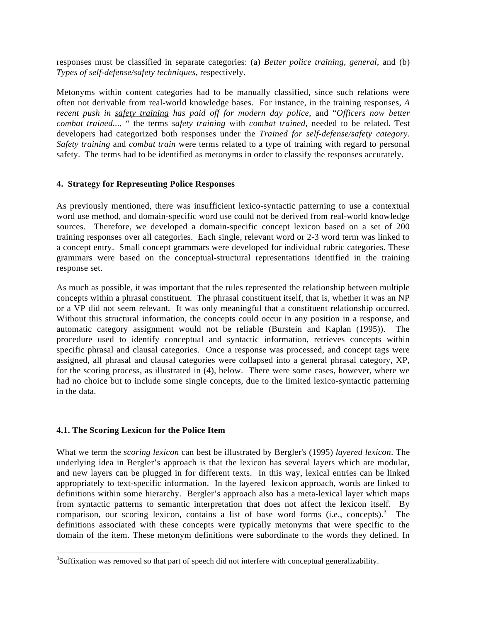responses must be classified in separate categories: (a) *Better police training, general*, and (b) *Types of self-defense/safety techniques*, respectively.

Metonyms within content categories had to be manually classified, since such relations were often not derivable from real-world knowledge bases. For instance, in the training responses, *A recent push in safety training has paid off for modern day police*, and "*Officers now better combat trained...*, " the terms *safety training* with *combat trained*, needed to be related. Test developers had categorized both responses under the *Trained for self-defense/safety category*. *Safety training* and *combat train* were terms related to a type of training with regard to personal safety. The terms had to be identified as metonyms in order to classify the responses accurately.

# **4. Strategy for Representing Police Responses**

As previously mentioned, there was insufficient lexico-syntactic patterning to use a contextual word use method, and domain-specific word use could not be derived from real-world knowledge sources. Therefore, we developed a domain-specific concept lexicon based on a set of 200 training responses over all categories. Each single, relevant word or 2-3 word term was linked to a concept entry. Small concept grammars were developed for individual rubric categories. These grammars were based on the conceptual-structural representations identified in the training response set.

As much as possible, it was important that the rules represented the relationship between multiple concepts within a phrasal constituent. The phrasal constituent itself, that is, whether it was an NP or a VP did not seem relevant. It was only meaningful that a constituent relationship occurred. Without this structural information, the concepts could occur in any position in a response, and automatic category assignment would not be reliable (Burstein and Kaplan (1995)). The procedure used to identify conceptual and syntactic information, retrieves concepts within specific phrasal and clausal categories. Once a response was processed, and concept tags were assigned, all phrasal and clausal categories were collapsed into a general phrasal category, XP, for the scoring process, as illustrated in (4), below. There were some cases, however, where we had no choice but to include some single concepts, due to the limited lexico-syntactic patterning in the data.

# **4.1. The Scoring Lexicon for the Police Item**

-

What we term the *scoring lexicon* can best be illustrated by Bergler's (1995) *layered lexicon*. The underlying idea in Bergler's approach is that the lexicon has several layers which are modular, and new layers can be plugged in for different texts. In this way, lexical entries can be linked appropriately to text-specific information. In the layered lexicon approach, words are linked to definitions within some hierarchy. Bergler's approach also has a meta-lexical layer which maps from syntactic patterns to semantic interpretation that does not affect the lexicon itself. By comparison, our scoring lexicon, contains a list of base word forms (i.e., concepts).<sup>3</sup> The definitions associated with these concepts were typically metonyms that were specific to the domain of the item. These metonym definitions were subordinate to the words they defined. In

 $3$ Suffixation was removed so that part of speech did not interfere with conceptual generalizability.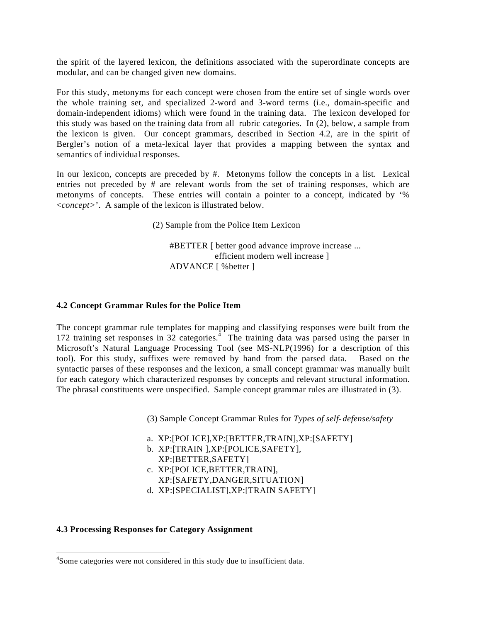the spirit of the layered lexicon, the definitions associated with the superordinate concepts are modular, and can be changed given new domains.

For this study, metonyms for each concept were chosen from the entire set of single words over the whole training set, and specialized 2-word and 3-word terms (i.e., domain-specific and domain-independent idioms) which were found in the training data. The lexicon developed for this study was based on the training data from all rubric categories. In (2), below, a sample from the lexicon is given. Our concept grammars, described in Section 4.2, are in the spirit of Bergler's notion of a meta-lexical layer that provides a mapping between the syntax and semantics of individual responses.

In our lexicon, concepts are preceded by #. Metonyms follow the concepts in a list. Lexical entries not preceded by # are relevant words from the set of training responses, which are metonyms of concepts. These entries will contain a pointer to a concept, indicated by '% <*concept>*'. A sample of the lexicon is illustrated below.

(2) Sample from the Police Item Lexicon

#BETTER [ better good advance improve increase ... efficient modern well increase ] ADVANCE [ %better ]

## **4.2 Concept Grammar Rules for the Police Item**

The concept grammar rule templates for mapping and classifying responses were built from the 172 training set responses in 32 categories.<sup>4</sup> The training data was parsed using the parser in Microsoft's Natural Language Processing Tool (see MS-NLP(1996) for a description of this tool). For this study, suffixes were removed by hand from the parsed data. Based on the syntactic parses of these responses and the lexicon, a small concept grammar was manually built for each category which characterized responses by concepts and relevant structural information. The phrasal constituents were unspecified. Sample concept grammar rules are illustrated in (3).

(3) Sample Concept Grammar Rules for *Types of self-defense/safety*

- a. XP:[POLICE],XP:[BETTER,TRAIN],XP:[SAFETY]
- b. XP:[TRAIN ],XP:[POLICE,SAFETY], XP:[BETTER,SAFETY]
- c. XP:[POLICE,BETTER,TRAIN], XP:[SAFETY,DANGER,SITUATION]
- d. XP:[SPECIALIST],XP:[TRAIN SAFETY]

#### **4.3 Processing Responses for Category Assignment**

-

<sup>&</sup>lt;sup>4</sup>Some categories were not considered in this study due to insufficient data.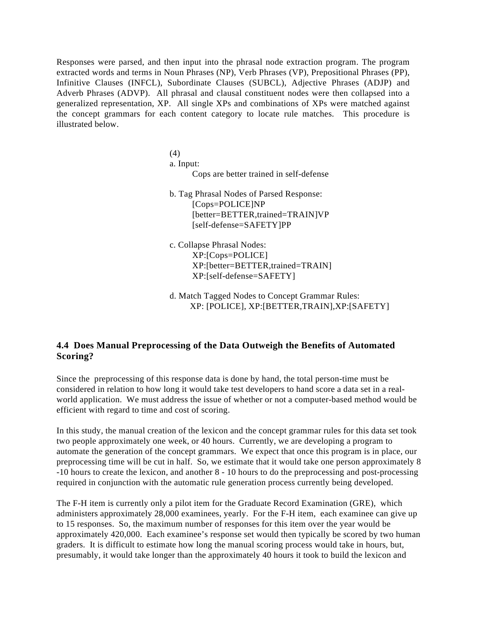Responses were parsed, and then input into the phrasal node extraction program. The program extracted words and terms in Noun Phrases (NP), Verb Phrases (VP), Prepositional Phrases (PP), Infinitive Clauses (INFCL), Subordinate Clauses (SUBCL), Adjective Phrases (ADJP) and Adverb Phrases (ADVP). All phrasal and clausal constituent nodes were then collapsed into a generalized representation, XP. All single XPs and combinations of XPs were matched against the concept grammars for each content category to locate rule matches. This procedure is illustrated below.

> (4) a. Input: Cops are better trained in self-defense

b. Tag Phrasal Nodes of Parsed Response: [Cops=POLICE]NP [better=BETTER,trained=TRAIN]VP [self-defense=SAFETY]PP

c. Collapse Phrasal Nodes: XP:[Cops=POLICE] XP:[better=BETTER,trained=TRAIN] XP:[self-defense=SAFETY]

d. Match Tagged Nodes to Concept Grammar Rules: XP: [POLICE], XP:[BETTER,TRAIN],XP:[SAFETY]

# **4.4 Does Manual Preprocessing of the Data Outweigh the Benefits of Automated Scoring?**

Since the preprocessing of this response data is done by hand, the total person-time must be considered in relation to how long it would take test developers to hand score a data set in a realworld application. We must address the issue of whether or not a computer-based method would be efficient with regard to time and cost of scoring.

In this study, the manual creation of the lexicon and the concept grammar rules for this data set took two people approximately one week, or 40 hours. Currently, we are developing a program to automate the generation of the concept grammars. We expect that once this program is in place, our preprocessing time will be cut in half. So, we estimate that it would take one person approximately 8 -10 hours to create the lexicon, and another 8 - 10 hours to do the preprocessing and post-processing required in conjunction with the automatic rule generation process currently being developed.

The F-H item is currently only a pilot item for the Graduate Record Examination (GRE), which administers approximately 28,000 examinees, yearly. For the F-H item, each examinee can give up to 15 responses. So, the maximum number of responses for this item over the year would be approximately 420,000. Each examinee's response set would then typically be scored by two human graders. It is difficult to estimate how long the manual scoring process would take in hours, but, presumably, it would take longer than the approximately 40 hours it took to build the lexicon and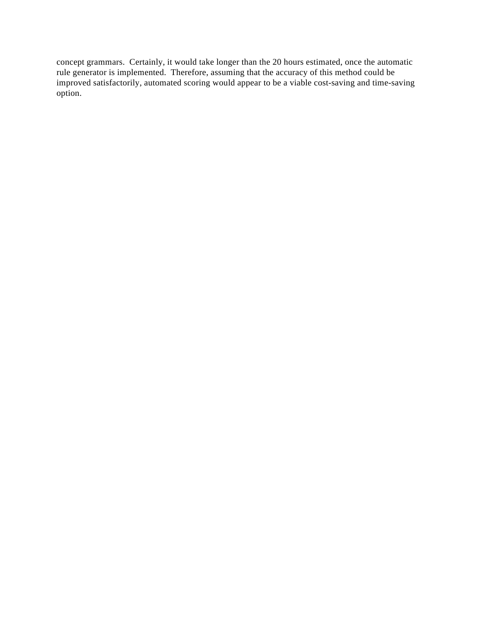concept grammars. Certainly, it would take longer than the 20 hours estimated, once the automatic rule generator is implemented. Therefore, assuming that the accuracy of this method could be improved satisfactorily, automated scoring would appear to be a viable cost-saving and time-saving option.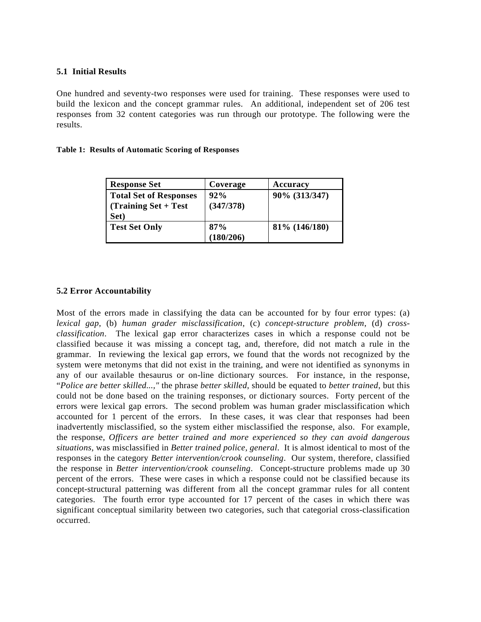# **5.1 Initial Results**

One hundred and seventy-two responses were used for training. These responses were used to build the lexicon and the concept grammar rules. An additional, independent set of 206 test responses from 32 content categories was run through our prototype. The following were the results.

#### **Table 1: Results of Automatic Scoring of Responses**

| <b>Response Set</b>                                                  | Coverage         | Accuracy       |
|----------------------------------------------------------------------|------------------|----------------|
| <b>Total Set of Responses</b><br>$\int$ (Training Set + Test<br>Set) | 92%<br>(347/378) | 90% (313/347)  |
| <b>Test Set Only</b>                                                 | 87%<br>(180/206) | 81\% (146/180) |

## **5.2 Error Accountability**

Most of the errors made in classifying the data can be accounted for by four error types: (a) *lexical gap*, (b) *human grader misclassification*, (c) *concept-structure problem*, (d) *crossclassification*. The lexical gap error characterizes cases in which a response could not be classified because it was missing a concept tag, and, therefore, did not match a rule in the grammar. In reviewing the lexical gap errors, we found that the words not recognized by the system were metonyms that did not exist in the training, and were not identified as synonyms in any of our available thesaurus or on-line dictionary sources. For instance, in the response, "*Police are better skilled...,"* the phrase *better skilled*, should be equated to *better trained*, but this could not be done based on the training responses, or dictionary sources. Forty percent of the errors were lexical gap errors. The second problem was human grader misclassification which accounted for 1 percent of the errors. In these cases, it was clear that responses had been inadvertently misclassified, so the system either misclassified the response, also. For example, the response, *Officers are better trained and more experienced so they can avoid dangerous situations*, was misclassified in *Better trained police, general*. It is almost identical to most of the responses in the category *Better intervention/crook counseling*. Our system, therefore, classified the response in *Better intervention/crook counseling*. Concept-structure problems made up 30 percent of the errors. These were cases in which a response could not be classified because its concept-structural patterning was different from all the concept grammar rules for all content categories. The fourth error type accounted for 17 percent of the cases in which there was significant conceptual similarity between two categories, such that categorial cross-classification occurred.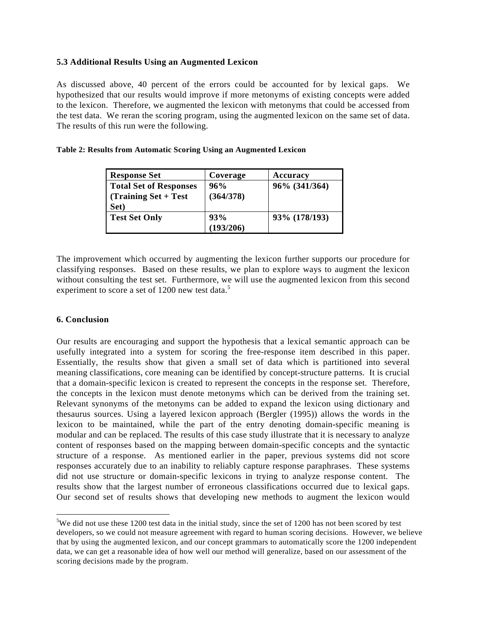# **5.3 Additional Results Using an Augmented Lexicon**

As discussed above, 40 percent of the errors could be accounted for by lexical gaps. We hypothesized that our results would improve if more metonyms of existing concepts were added to the lexicon. Therefore, we augmented the lexicon with metonyms that could be accessed from the test data. We reran the scoring program, using the augmented lexicon on the same set of data. The results of this run were the following.

| <b>Response Set</b>           | Coverage  | Accuracy      |
|-------------------------------|-----------|---------------|
| <b>Total Set of Responses</b> | 96%       | 96% (341/364) |
| $(Training Set + Test)$       | (364/378) |               |
| Set)                          |           |               |
| <b>Test Set Only</b>          | 93%       | 93% (178/193) |
|                               | (193/206) |               |

#### **Table 2: Results from Automatic Scoring Using an Augmented Lexicon**

The improvement which occurred by augmenting the lexicon further supports our procedure for classifying responses. Based on these results, we plan to explore ways to augment the lexicon without consulting the test set. Furthermore, we will use the augmented lexicon from this second experiment to score a set of 1200 new test data.<sup>5</sup>

## **6. Conclusion**

-

Our results are encouraging and support the hypothesis that a lexical semantic approach can be usefully integrated into a system for scoring the free-response item described in this paper. Essentially, the results show that given a small set of data which is partitioned into several meaning classifications, core meaning can be identified by concept-structure patterns. It is crucial that a domain-specific lexicon is created to represent the concepts in the response set. Therefore, the concepts in the lexicon must denote metonyms which can be derived from the training set. Relevant synonyms of the metonyms can be added to expand the lexicon using dictionary and thesaurus sources. Using a layered lexicon approach (Bergler (1995)) allows the words in the lexicon to be maintained, while the part of the entry denoting domain-specific meaning is modular and can be replaced. The results of this case study illustrate that it is necessary to analyze content of responses based on the mapping between domain-specific concepts and the syntactic structure of a response. As mentioned earlier in the paper, previous systems did not score responses accurately due to an inability to reliably capture response paraphrases. These systems did not use structure or domain-specific lexicons in trying to analyze response content. The results show that the largest number of erroneous classifications occurred due to lexical gaps. Our second set of results shows that developing new methods to augment the lexicon would

<sup>&</sup>lt;sup>5</sup>We did not use these 1200 test data in the initial study, since the set of 1200 has not been scored by test developers, so we could not measure agreement with regard to human scoring decisions. However, we believe that by using the augmented lexicon, and our concept grammars to automatically score the 1200 independent data, we can get a reasonable idea of how well our method will generalize, based on our assessment of the scoring decisions made by the program.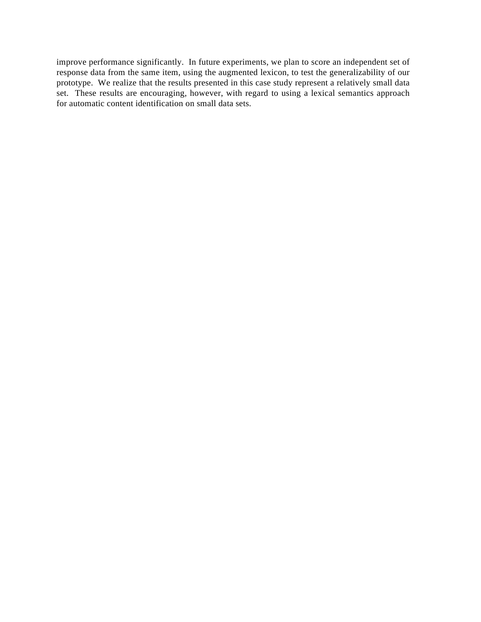improve performance significantly. In future experiments, we plan to score an independent set of response data from the same item, using the augmented lexicon, to test the generalizability of our prototype. We realize that the results presented in this case study represent a relatively small data set. These results are encouraging, however, with regard to using a lexical semantics approach for automatic content identification on small data sets.